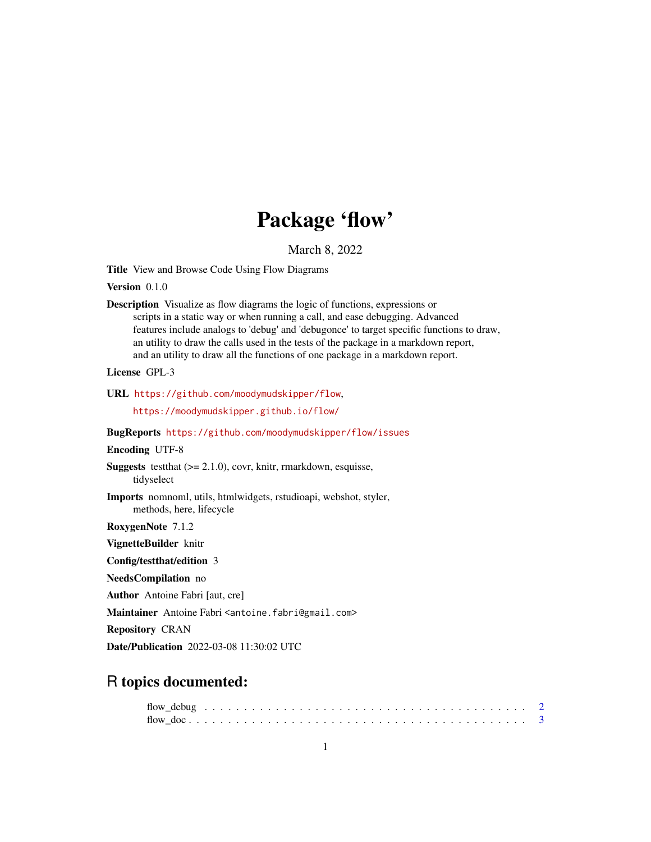# Package 'flow'

March 8, 2022

Title View and Browse Code Using Flow Diagrams

Version 0.1.0

Description Visualize as flow diagrams the logic of functions, expressions or scripts in a static way or when running a call, and ease debugging. Advanced features include analogs to 'debug' and 'debugonce' to target specific functions to draw, an utility to draw the calls used in the tests of the package in a markdown report, and an utility to draw all the functions of one package in a markdown report.

License GPL-3

```
URL https://github.com/moodymudskipper/flow,
```
<https://moodymudskipper.github.io/flow/>

# BugReports <https://github.com/moodymudskipper/flow/issues>

#### Encoding UTF-8

**Suggests** test that  $(>= 2.1.0)$ , covr, knitr, rmarkdown, esquisse, tidyselect

Imports nomnoml, utils, htmlwidgets, rstudioapi, webshot, styler, methods, here, lifecycle

RoxygenNote 7.1.2

VignetteBuilder knitr

Config/testthat/edition 3

NeedsCompilation no

Author Antoine Fabri [aut, cre]

Maintainer Antoine Fabri <antoine.fabri@gmail.com>

Repository CRAN

Date/Publication 2022-03-08 11:30:02 UTC

# R topics documented: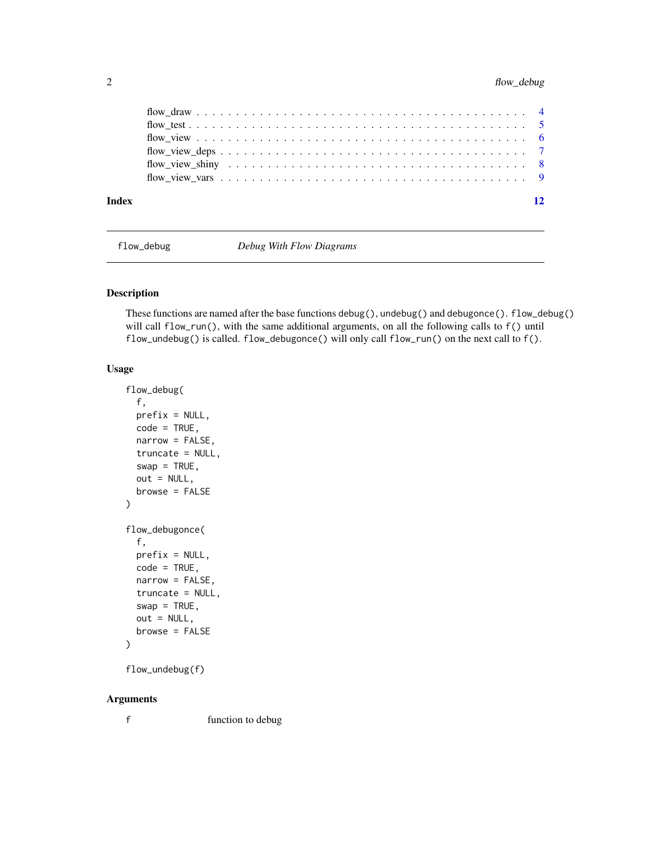<span id="page-1-0"></span>

| Index | 12 |
|-------|----|
|       |    |
|       |    |
|       |    |
|       |    |
|       |    |
|       |    |

flow\_debug *Debug With Flow Diagrams*

# Description

These functions are named after the base functions debug(), undebug() and debugonce(). flow\_debug() will call flow\_run(), with the same additional arguments, on all the following calls to f() until flow\_undebug() is called. flow\_debugonce() will only call flow\_run() on the next call to f().

# Usage

```
flow_debug(
  f,
 prefix = NULL,
 code = TRUE,narrow = FALSE,
  truncate = NULL,
  swap = TRUE,out = NULL,
 browse = FALSE
\mathcal{L}flow_debugonce(
  f,
 prefix = NULL,
 code = TRUE,
 narrow = FALSE,
  truncate = NULL,
  swap = TRUE,out = NULL,
  browse = FALSE
)
```

```
flow_undebug(f)
```
#### Arguments

f function to debug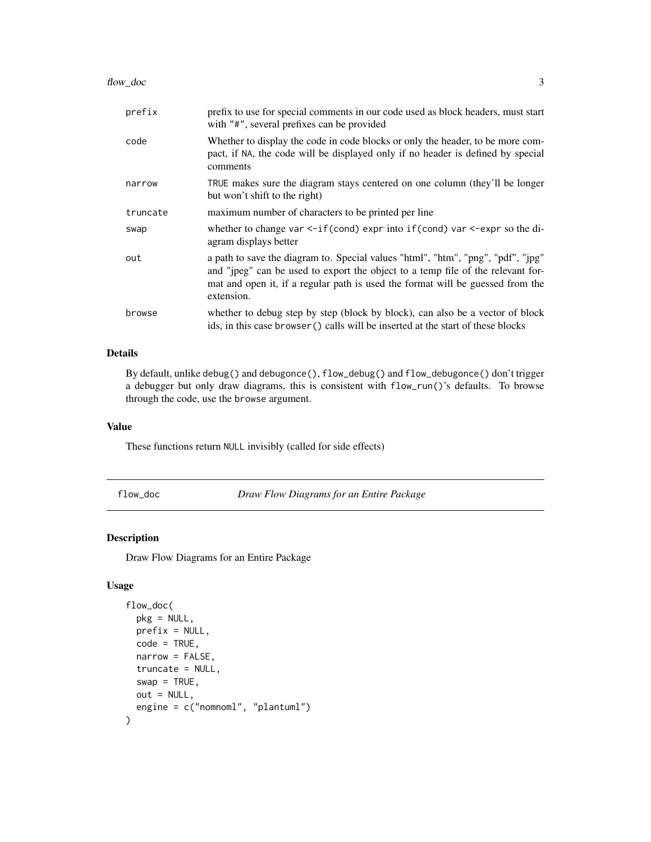#### <span id="page-2-0"></span>flow\_doc 3

| prefix   | prefix to use for special comments in our code used as block headers, must start<br>with "#", several prefixes can be provided                                                                                                                                      |
|----------|---------------------------------------------------------------------------------------------------------------------------------------------------------------------------------------------------------------------------------------------------------------------|
| code     | Whether to display the code in code blocks or only the header, to be more com-<br>pact, if NA, the code will be displayed only if no header is defined by special<br>comments                                                                                       |
| narrow   | TRUE makes sure the diagram stays centered on one column (they'll be longer<br>but won't shift to the right)                                                                                                                                                        |
| truncate | maximum number of characters to be printed per line                                                                                                                                                                                                                 |
| swap     | whether to change var $\leq$ -if(cond) expr into if(cond) var $\leq$ -expr so the di-<br>agram displays better                                                                                                                                                      |
| out      | a path to save the diagram to. Special values "html", "htm", "png", "pdf", "jpg"<br>and "jpeg" can be used to export the object to a temp file of the relevant for-<br>mat and open it, if a regular path is used the format will be guessed from the<br>extension. |
| browse   | whether to debug step by step (block by block), can also be a vector of block<br>ids, in this case browser () calls will be inserted at the start of these blocks                                                                                                   |

# Details

By default, unlike debug() and debugonce(), flow\_debug() and flow\_debugonce() don't trigger a debugger but only draw diagrams, this is consistent with flow\_run()'s defaults. To browse through the code, use the browse argument.

### Value

These functions return NULL invisibly (called for side effects)

flow\_doc *Draw Flow Diagrams for an Entire Package*

# Description

Draw Flow Diagrams for an Entire Package

# Usage

```
flow_doc(
 pkg = NULL,
 prefix = NULL,
  code = TRUE,
  narrow = FALSE,
  truncate = NULL,
  swap = TRUE,out = NULL,engine = c("nomnoml", "plantuml")
\mathcal{E}
```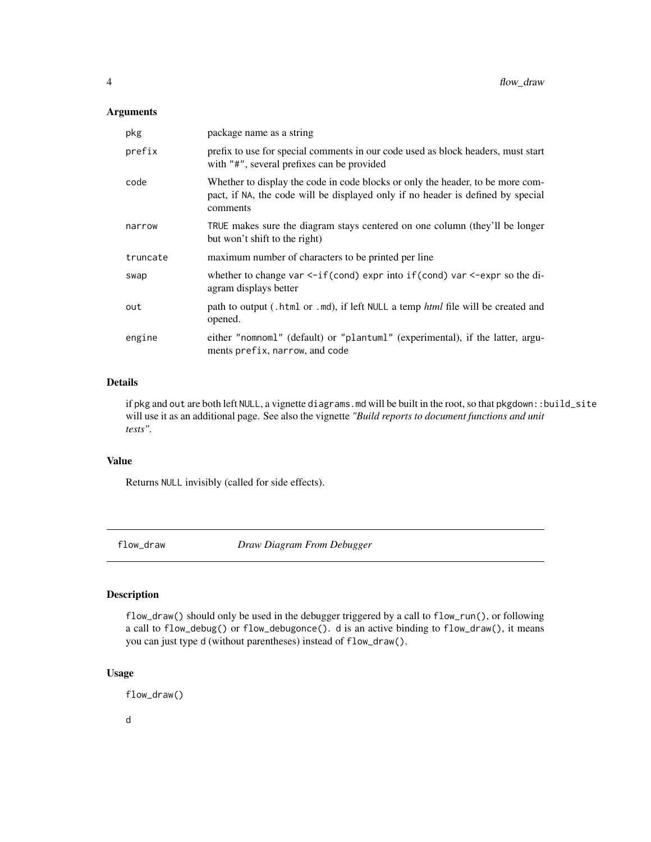# <span id="page-3-0"></span>Arguments

| pkg      | package name as a string                                                                                                                                                      |
|----------|-------------------------------------------------------------------------------------------------------------------------------------------------------------------------------|
| prefix   | prefix to use for special comments in our code used as block headers, must start<br>with "#", several prefixes can be provided                                                |
| code     | Whether to display the code in code blocks or only the header, to be more com-<br>pact, if NA, the code will be displayed only if no header is defined by special<br>comments |
| narrow   | TRUE makes sure the diagram stays centered on one column (they'll be longer<br>but won't shift to the right)                                                                  |
| truncate | maximum number of characters to be printed per line                                                                                                                           |
| swap     | whether to change var $\leq$ -if(cond) expr into if(cond) var $\leq$ -expr so the di-<br>agram displays better                                                                |
| out      | path to output (. html or . md), if left NULL a temp <i>html</i> file will be created and<br>opened.                                                                          |
| engine   | either "nomnoml" (default) or "plantuml" (experimental), if the latter, argu-<br>ments prefix, narrow, and code                                                               |

### Details

if pkg and out are both left NULL, a vignette diagrams.md will be built in the root, so that pkgdown::build\_site will use it as an additional page. See also the vignette *"Build reports to document functions and unit tests"*.

#### Value

Returns NULL invisibly (called for side effects).

flow\_draw *Draw Diagram From Debugger*

# Description

flow\_draw() should only be used in the debugger triggered by a call to flow\_run(), or following a call to flow\_debug() or flow\_debugonce(). d is an active binding to flow\_draw(), it means you can just type d (without parentheses) instead of flow\_draw().

# Usage

flow\_draw()

d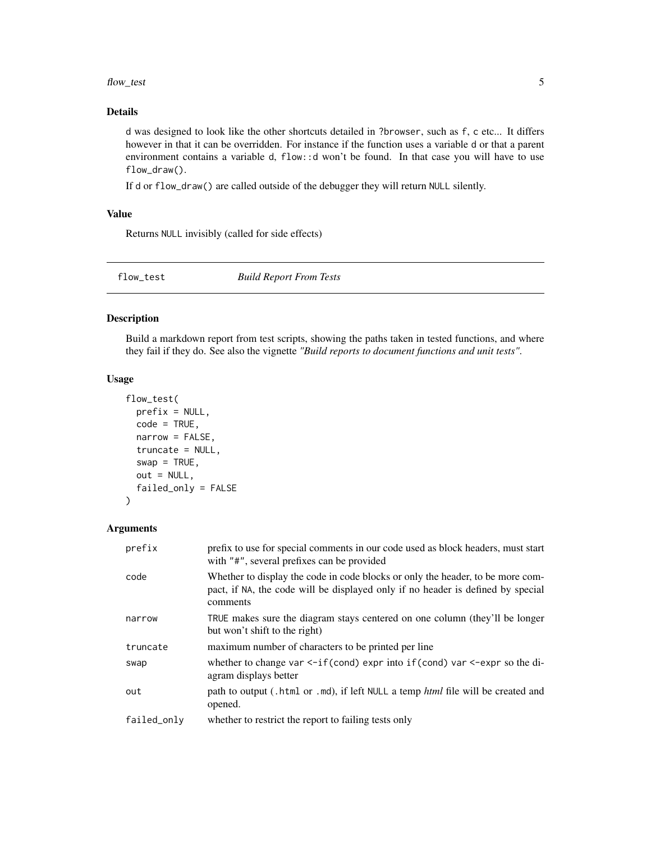#### <span id="page-4-0"></span>flow\_test 5

### Details

d was designed to look like the other shortcuts detailed in ?browser, such as f, c etc... It differs however in that it can be overridden. For instance if the function uses a variable d or that a parent environment contains a variable d, flow::d won't be found. In that case you will have to use flow\_draw().

If d or flow\_draw() are called outside of the debugger they will return NULL silently.

# Value

Returns NULL invisibly (called for side effects)

flow\_test *Build Report From Tests*

#### Description

Build a markdown report from test scripts, showing the paths taken in tested functions, and where they fail if they do. See also the vignette *"Build reports to document functions and unit tests"*.

#### Usage

```
flow_test(
 prefix = NULL,
  code = TRUE,narrow = FALSE,
  truncate = NULL,
  swap = TRUE,out = NULL,failed_only = FALSE
)
```
#### Arguments

| prefix      | prefix to use for special comments in our code used as block headers, must start<br>with "#", several prefixes can be provided                                                |
|-------------|-------------------------------------------------------------------------------------------------------------------------------------------------------------------------------|
| code        | Whether to display the code in code blocks or only the header, to be more com-<br>pact, if NA, the code will be displayed only if no header is defined by special<br>comments |
| narrow      | TRUE makes sure the diagram stays centered on one column (they'll be longer<br>but won't shift to the right)                                                                  |
| truncate    | maximum number of characters to be printed per line                                                                                                                           |
| swap        | whether to change var $\leq$ -if(cond) expr into if(cond) var $\leq$ -expr so the di-<br>agram displays better                                                                |
| out         | path to output (. html or . md), if left NULL a temp <i>html</i> file will be created and<br>opened.                                                                          |
| failed_only | whether to restrict the report to failing tests only                                                                                                                          |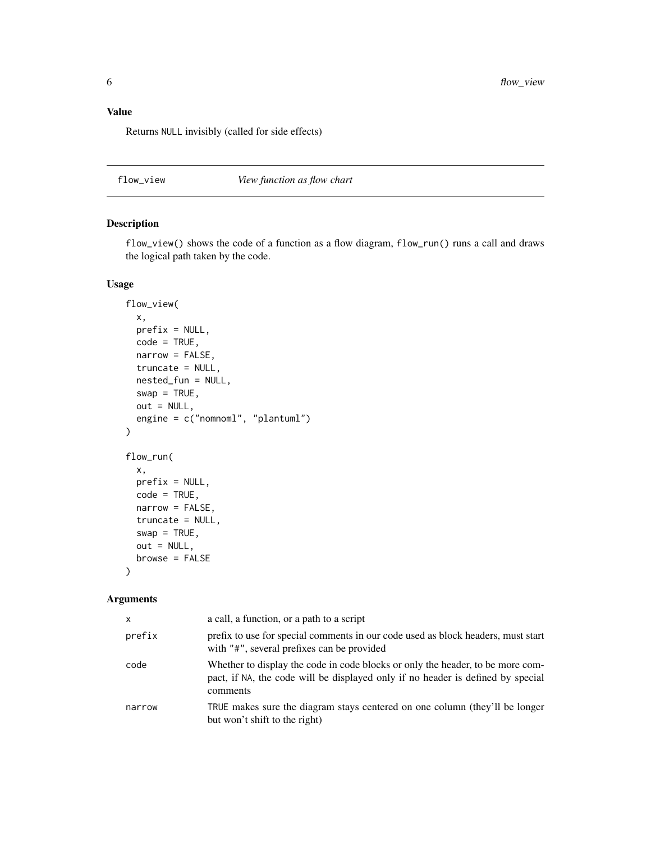# <span id="page-5-0"></span>Value

Returns NULL invisibly (called for side effects)

flow\_view *View function as flow chart*

### Description

flow\_view() shows the code of a function as a flow diagram, flow\_run() runs a call and draws the logical path taken by the code.

#### Usage

```
flow_view(
  x,
 prefix = NULL,
  code = TRUE,narrow = FALSE,
  truncate = NULL,
  nested_fun = NULL,
  swap = TRUE,out = NULL,engine = c("nomnoml", "plantuml")
\mathcal{L}flow_run(
  x,
 prefix = NULL,
 code = TRUE,narrow = FALSE,
  truncate = NULL,
  swap = TRUE,out = NULL,browse = FALSE
)
```
# Arguments

| x      | a call, a function, or a path to a script                                                                                                                                     |
|--------|-------------------------------------------------------------------------------------------------------------------------------------------------------------------------------|
| prefix | prefix to use for special comments in our code used as block headers, must start<br>with "#", several prefixes can be provided                                                |
| code   | Whether to display the code in code blocks or only the header, to be more com-<br>pact, if NA, the code will be displayed only if no header is defined by special<br>comments |
| narrow | TRUE makes sure the diagram stays centered on one column (they'll be longer<br>but won't shift to the right)                                                                  |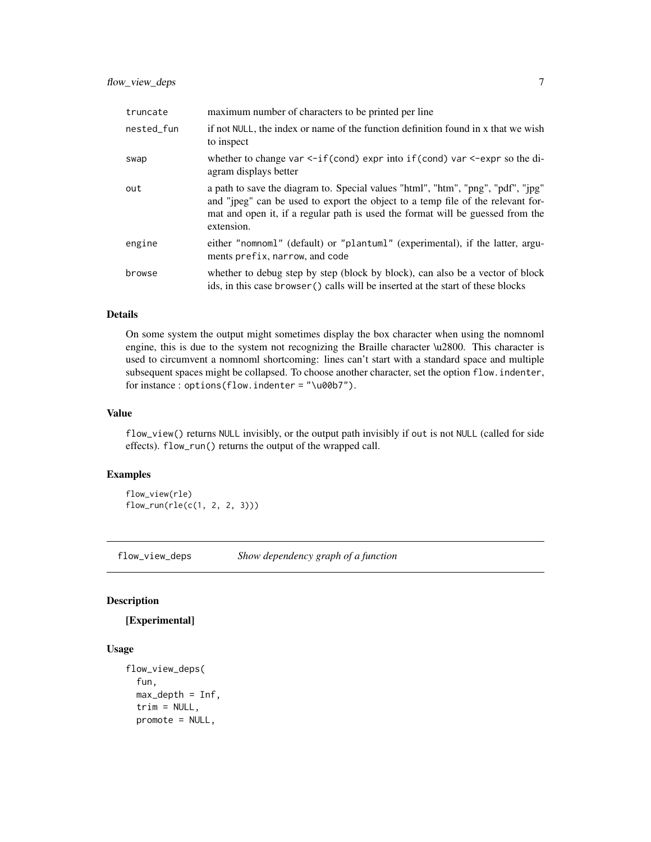<span id="page-6-0"></span>

| truncate   | maximum number of characters to be printed per line                                                                                                                                                                                                                 |
|------------|---------------------------------------------------------------------------------------------------------------------------------------------------------------------------------------------------------------------------------------------------------------------|
| nested_fun | if not NULL, the index or name of the function definition found in x that we wish<br>to inspect                                                                                                                                                                     |
| swap       | whether to change var $\leq$ -if(cond) expr into if(cond) var $\leq$ -expr so the di-<br>agram displays better                                                                                                                                                      |
| out        | a path to save the diagram to. Special values "html", "htm", "png", "pdf", "jpg"<br>and "jpeg" can be used to export the object to a temp file of the relevant for-<br>mat and open it, if a regular path is used the format will be guessed from the<br>extension. |
| engine     | either "nomnoml" (default) or "plantuml" (experimental), if the latter, argu-<br>ments prefix, narrow, and code                                                                                                                                                     |
| browse     | whether to debug step by step (block by block), can also be a vector of block<br>ids, in this case browser () calls will be inserted at the start of these blocks                                                                                                   |

#### Details

On some system the output might sometimes display the box character when using the nomnoml engine, this is due to the system not recognizing the Braille character \u2800. This character is used to circumvent a nomnoml shortcoming: lines can't start with a standard space and multiple subsequent spaces might be collapsed. To choose another character, set the option flow.indenter, for instance : options(flow.indenter = "\u00b7").

#### Value

flow\_view() returns NULL invisibly, or the output path invisibly if out is not NULL (called for side effects). flow\_run() returns the output of the wrapped call.

# Examples

flow\_view(rle) flow\_run(rle(c(1, 2, 2, 3)))

flow\_view\_deps *Show dependency graph of a function*

#### Description

# [Experimental]

# Usage

```
flow_view_deps(
 fun,
 max\_depth = Inf,trim = NULL,promote = NULL,
```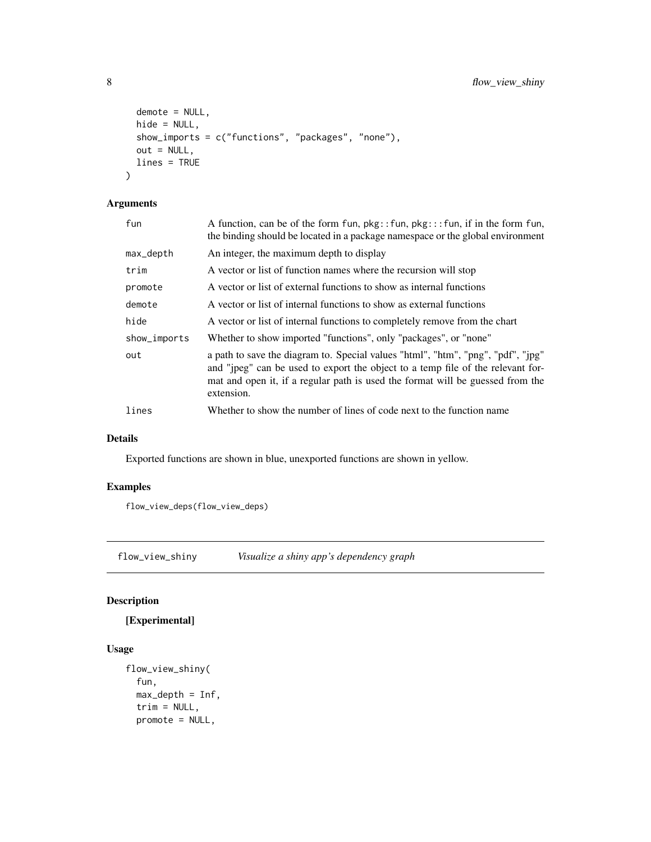```
demote = NULL,
 hide = NULL,
 show_imports = c("functions", "packages", "none"),
 out = NULL,lines = TRUE
\mathcal{L}
```
# Arguments

| fun          | A function, can be of the form fun, $pkg::fun, pkg::fun, if in the form fun,$<br>the binding should be located in a package namespace or the global environment                                                                                                     |
|--------------|---------------------------------------------------------------------------------------------------------------------------------------------------------------------------------------------------------------------------------------------------------------------|
| max_depth    | An integer, the maximum depth to display                                                                                                                                                                                                                            |
| trim         | A vector or list of function names where the recursion will stop                                                                                                                                                                                                    |
| promote      | A vector or list of external functions to show as internal functions                                                                                                                                                                                                |
| demote       | A vector or list of internal functions to show as external functions                                                                                                                                                                                                |
| hide         | A vector or list of internal functions to completely remove from the chart                                                                                                                                                                                          |
| show_imports | Whether to show imported "functions", only "packages", or "none"                                                                                                                                                                                                    |
| out          | a path to save the diagram to. Special values "html", "htm", "png", "pdf", "ipg"<br>and "jpeg" can be used to export the object to a temp file of the relevant for-<br>mat and open it, if a regular path is used the format will be guessed from the<br>extension. |
| lines        | Whether to show the number of lines of code next to the function name                                                                                                                                                                                               |

# Details

Exported functions are shown in blue, unexported functions are shown in yellow.

# Examples

flow\_view\_deps(flow\_view\_deps)

flow\_view\_shiny *Visualize a shiny app's dependency graph*

# Description

# [Experimental]

# Usage

```
flow_view_shiny(
  fun,
 max\_depth = Inf,trim = NULL,
 promote = NULL,
```
<span id="page-7-0"></span>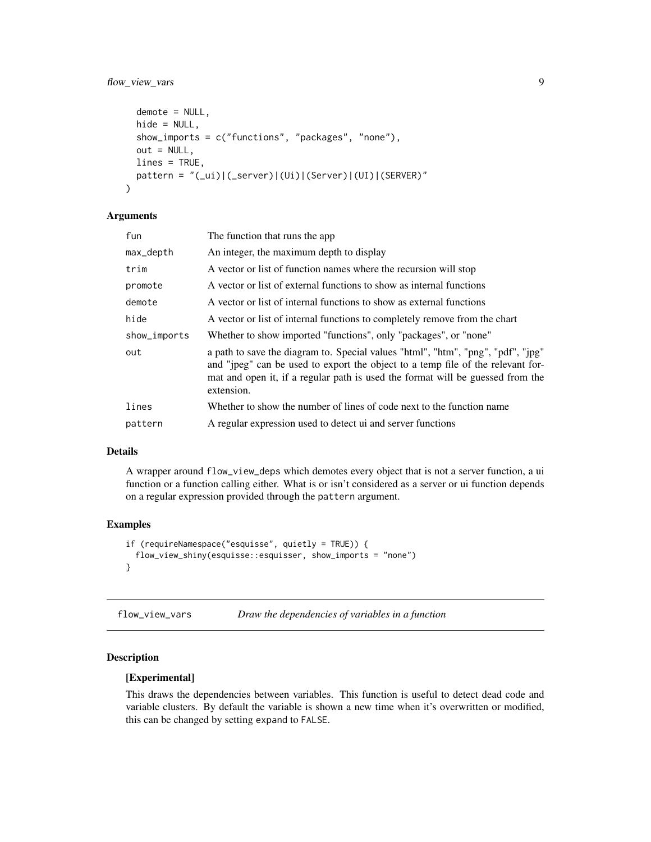# <span id="page-8-0"></span>flow\_view\_vars 9

```
demote = NULL,
hide = NULL,
show_imports = c("functions", "packages", "none"),
out = NULL,lines = TRUE,
pattern = "(_ui)|(_server)|(Ui)|(Server)|(UI)|(SERVER)"
```
#### Arguments

)

| fun          | The function that runs the app                                                                                                                                                                                                                                      |
|--------------|---------------------------------------------------------------------------------------------------------------------------------------------------------------------------------------------------------------------------------------------------------------------|
| max_depth    | An integer, the maximum depth to display                                                                                                                                                                                                                            |
| trim         | A vector or list of function names where the recursion will stop                                                                                                                                                                                                    |
| promote      | A vector or list of external functions to show as internal functions                                                                                                                                                                                                |
| demote       | A vector or list of internal functions to show as external functions                                                                                                                                                                                                |
| hide         | A vector or list of internal functions to completely remove from the chart                                                                                                                                                                                          |
| show_imports | Whether to show imported "functions", only "packages", or "none"                                                                                                                                                                                                    |
| out          | a path to save the diagram to. Special values "html", "htm", "png", "pdf", "jpg"<br>and "jpeg" can be used to export the object to a temp file of the relevant for-<br>mat and open it, if a regular path is used the format will be guessed from the<br>extension. |
| lines        | Whether to show the number of lines of code next to the function name                                                                                                                                                                                               |
| pattern      | A regular expression used to detect ui and server functions                                                                                                                                                                                                         |

#### Details

A wrapper around flow\_view\_deps which demotes every object that is not a server function, a ui function or a function calling either. What is or isn't considered as a server or ui function depends on a regular expression provided through the pattern argument.

#### Examples

```
if (requireNamespace("esquisse", quietly = TRUE)) {
 flow_view_shiny(esquisse::esquisser, show_imports = "none")
}
```
flow\_view\_vars *Draw the dependencies of variables in a function*

# Description

### [Experimental]

This draws the dependencies between variables. This function is useful to detect dead code and variable clusters. By default the variable is shown a new time when it's overwritten or modified, this can be changed by setting expand to FALSE.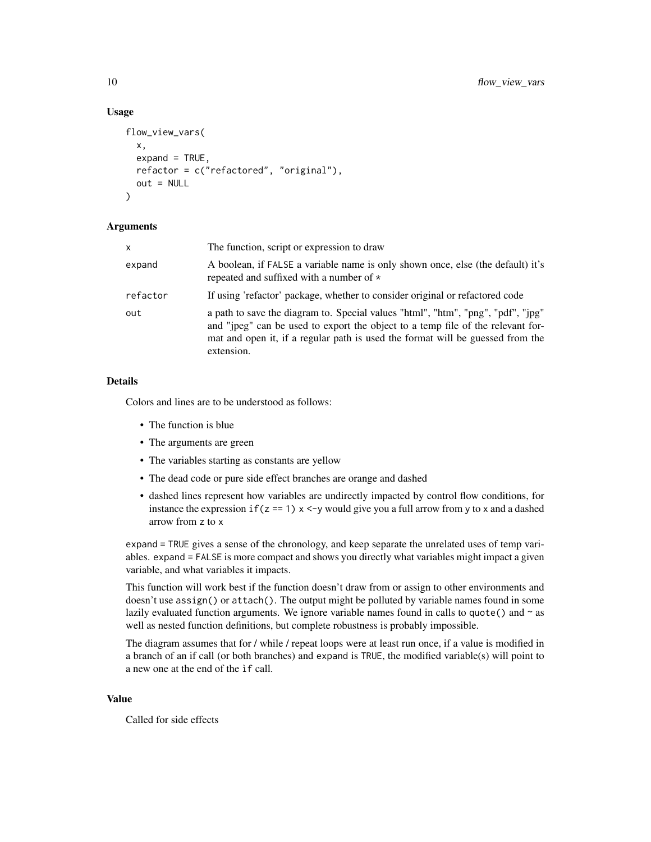#### Usage

```
flow_view_vars(
  x,
  expand = TRUE,refactor = c("refactored", "original"),
 out = NULL)
```
#### Arguments

| x        | The function, script or expression to draw                                                                                                                                                                                                                          |
|----------|---------------------------------------------------------------------------------------------------------------------------------------------------------------------------------------------------------------------------------------------------------------------|
| expand   | A boolean, if FALSE a variable name is only shown once, else (the default) it's<br>repeated and suffixed with a number of $\star$                                                                                                                                   |
| refactor | If using 'refactor' package, whether to consider original or refactored code                                                                                                                                                                                        |
| out      | a path to save the diagram to. Special values "html", "htm", "png", "pdf", "ipg"<br>and "jpeg" can be used to export the object to a temp file of the relevant for-<br>mat and open it, if a regular path is used the format will be guessed from the<br>extension. |

#### Details

Colors and lines are to be understood as follows:

- The function is blue
- The arguments are green
- The variables starting as constants are yellow
- The dead code or pure side effect branches are orange and dashed
- dashed lines represent how variables are undirectly impacted by control flow conditions, for instance the expression if ( $z = 1$ )  $x \le y$  would give you a full arrow from y to x and a dashed arrow from z to x

expand = TRUE gives a sense of the chronology, and keep separate the unrelated uses of temp variables. expand = FALSE is more compact and shows you directly what variables might impact a given variable, and what variables it impacts.

This function will work best if the function doesn't draw from or assign to other environments and doesn't use assign() or attach(). The output might be polluted by variable names found in some lazily evaluated function arguments. We ignore variable names found in calls to quote  $()$  and  $\sim$  as well as nested function definitions, but complete robustness is probably impossible.

The diagram assumes that for / while / repeat loops were at least run once, if a value is modified in a branch of an if call (or both branches) and expand is TRUE, the modified variable(s) will point to a new one at the end of the ìf call.

#### Value

Called for side effects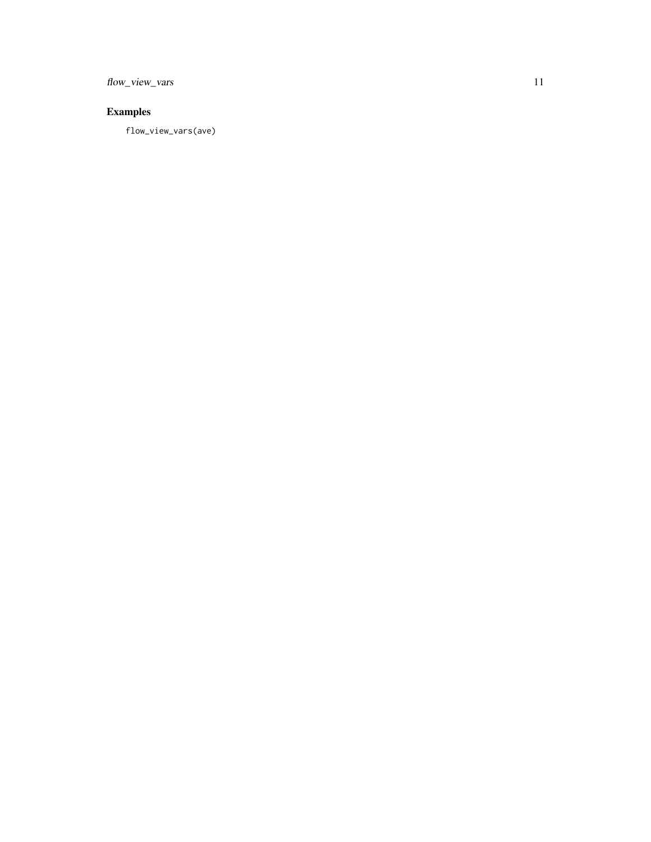flow\_view\_vars 11

# Examples

flow\_view\_vars(ave)